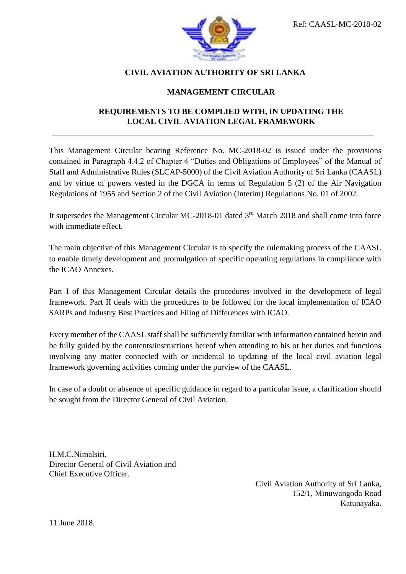

### **CIVIL AVIATION AUTHORITY OF SRI LANKA**

### **MANAGEMENT CIRCULAR**

### **REQUIREMENTS TO BE COMPLIED WITH, IN UPDATING THE LOCAL CIVIL AVIATION LEGAL FRAMEWORK**

This Management Circular bearing Reference No. MC-2018-02 is issued under the provisions contained in Paragraph 4.4.2 of Chapter 4 "Duties and Obligations of Employees" of the Manual of Staff and Administrative Rules (SLCAP-5000) of the Civil Aviation Authority of Sri Lanka (CAASL) and by virtue of powers vested in the DGCA in terms of Regulation 5 (2) of the Air Navigation Regulations of 1955 and Section 2 of the Civil Aviation (Interim) Regulations No. 01 of 2002.

It supersedes the Management Circular MC-2018-01 dated 3<sup>rd</sup> March 2018 and shall come into force with immediate effect.

The main objective of this Management Circular is to specify the rulemaking process of the CAASL to enable timely development and promulgation of specific operating regulations in compliance with the ICAO Annexes.

Part I of this Management Circular details the procedures involved in the development of legal framework. Part II deals with the procedures to be followed for the local implementation of ICAO SARPs and Industry Best Practices and Filing of Differences with ICAO.

Every member of the CAASL staff shall be sufficiently familiar with information contained herein and be fully guided by the contents/instructions hereof when attending to his or her duties and functions involving any matter connected with or incidental to updating of the local civil aviation legal framework governing activities coming under the purview of the CAASL.

In case of a doubt or absence of specific guidance in regard to a particular issue, a clarification should be sought from the Director General of Civil Aviation.

H.M.C.Nimalsiri, Director General of Civil Aviation and Chief Executive Officer.

> Civil Aviation Authority of Sri Lanka, 152/1, Minuwangoda Road Katunayaka.

11 June 2018.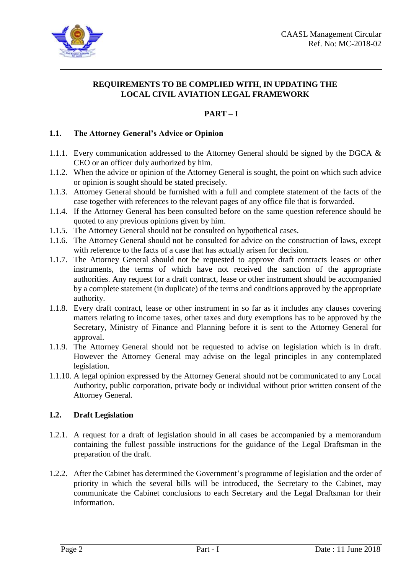

### **REQUIREMENTS TO BE COMPLIED WITH, IN UPDATING THE LOCAL CIVIL AVIATION LEGAL FRAMEWORK**

## **PART – I**

#### **1.1. The Attorney General's Advice or Opinion**

- 1.1.1. Every communication addressed to the Attorney General should be signed by the DGCA & CEO or an officer duly authorized by him.
- 1.1.2. When the advice or opinion of the Attorney General is sought, the point on which such advice or opinion is sought should be stated precisely.
- 1.1.3. Attorney General should be furnished with a full and complete statement of the facts of the case together with references to the relevant pages of any office file that is forwarded.
- 1.1.4. If the Attorney General has been consulted before on the same question reference should be quoted to any previous opinions given by him.
- 1.1.5. The Attorney General should not be consulted on hypothetical cases.
- 1.1.6. The Attorney General should not be consulted for advice on the construction of laws, except with reference to the facts of a case that has actually arisen for decision.
- 1.1.7. The Attorney General should not be requested to approve draft contracts leases or other instruments, the terms of which have not received the sanction of the appropriate authorities. Any request for a draft contract, lease or other instrument should be accompanied by a complete statement (in duplicate) of the terms and conditions approved by the appropriate authority.
- 1.1.8. Every draft contract, lease or other instrument in so far as it includes any clauses covering matters relating to income taxes, other taxes and duty exemptions has to be approved by the Secretary, Ministry of Finance and Planning before it is sent to the Attorney General for approval.
- 1.1.9. The Attorney General should not be requested to advise on legislation which is in draft. However the Attorney General may advise on the legal principles in any contemplated legislation.
- 1.1.10. A legal opinion expressed by the Attorney General should not be communicated to any Local Authority, public corporation, private body or individual without prior written consent of the Attorney General.

#### **1.2. Draft Legislation**

- 1.2.1. A request for a draft of legislation should in all cases be accompanied by a memorandum containing the fullest possible instructions for the guidance of the Legal Draftsman in the preparation of the draft.
- 1.2.2. After the Cabinet has determined the Government's programme of legislation and the order of priority in which the several bills will be introduced, the Secretary to the Cabinet, may communicate the Cabinet conclusions to each Secretary and the Legal Draftsman for their information.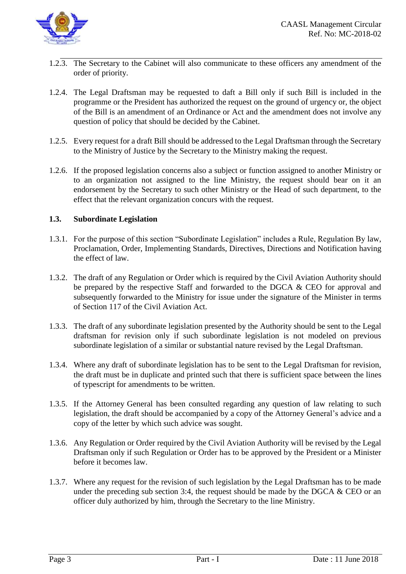

- 1.2.3. The Secretary to the Cabinet will also communicate to these officers any amendment of the order of priority.
- 1.2.4. The Legal Draftsman may be requested to daft a Bill only if such Bill is included in the programme or the President has authorized the request on the ground of urgency or, the object of the Bill is an amendment of an Ordinance or Act and the amendment does not involve any question of policy that should be decided by the Cabinet.
- 1.2.5. Every request for a draft Bill should be addressed to the Legal Draftsman through the Secretary to the Ministry of Justice by the Secretary to the Ministry making the request.
- 1.2.6. If the proposed legislation concerns also a subject or function assigned to another Ministry or to an organization not assigned to the line Ministry, the request should bear on it an endorsement by the Secretary to such other Ministry or the Head of such department, to the effect that the relevant organization concurs with the request.

#### **1.3. Subordinate Legislation**

- 1.3.1. For the purpose of this section "Subordinate Legislation" includes a Rule, Regulation By law, Proclamation, Order, Implementing Standards, Directives, Directions and Notification having the effect of law.
- 1.3.2. The draft of any Regulation or Order which is required by the Civil Aviation Authority should be prepared by the respective Staff and forwarded to the DGCA & CEO for approval and subsequently forwarded to the Ministry for issue under the signature of the Minister in terms of Section 117 of the Civil Aviation Act.
- 1.3.3. The draft of any subordinate legislation presented by the Authority should be sent to the Legal draftsman for revision only if such subordinate legislation is not modeled on previous subordinate legislation of a similar or substantial nature revised by the Legal Draftsman.
- 1.3.4. Where any draft of subordinate legislation has to be sent to the Legal Draftsman for revision, the draft must be in duplicate and printed such that there is sufficient space between the lines of typescript for amendments to be written.
- 1.3.5. If the Attorney General has been consulted regarding any question of law relating to such legislation, the draft should be accompanied by a copy of the Attorney General's advice and a copy of the letter by which such advice was sought.
- 1.3.6. Any Regulation or Order required by the Civil Aviation Authority will be revised by the Legal Draftsman only if such Regulation or Order has to be approved by the President or a Minister before it becomes law.
- 1.3.7. Where any request for the revision of such legislation by the Legal Draftsman has to be made under the preceding sub section 3:4, the request should be made by the DGCA  $&$  CEO or an officer duly authorized by him, through the Secretary to the line Ministry.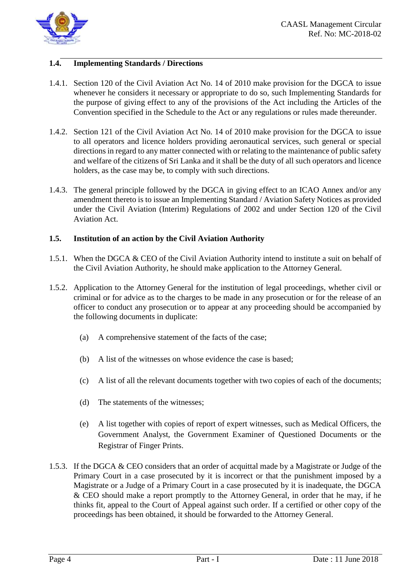

#### **1.4. Implementing Standards / Directions**

- 1.4.1. Section 120 of the Civil Aviation Act No. 14 of 2010 make provision for the DGCA to issue whenever he considers it necessary or appropriate to do so, such Implementing Standards for the purpose of giving effect to any of the provisions of the Act including the Articles of the Convention specified in the Schedule to the Act or any regulations or rules made thereunder.
- 1.4.2. Section 121 of the Civil Aviation Act No. 14 of 2010 make provision for the DGCA to issue to all operators and licence holders providing aeronautical services, such general or special directions in regard to any matter connected with or relating to the maintenance of public safety and welfare of the citizens of Sri Lanka and it shall be the duty of all such operators and licence holders, as the case may be, to comply with such directions.
- 1.4.3. The general principle followed by the DGCA in giving effect to an ICAO Annex and/or any amendment thereto is to issue an Implementing Standard / Aviation Safety Notices as provided under the Civil Aviation (Interim) Regulations of 2002 and under Section 120 of the Civil Aviation Act.

#### **1.5. Institution of an action by the Civil Aviation Authority**

- 1.5.1. When the DGCA & CEO of the Civil Aviation Authority intend to institute a suit on behalf of the Civil Aviation Authority, he should make application to the Attorney General.
- 1.5.2. Application to the Attorney General for the institution of legal proceedings, whether civil or criminal or for advice as to the charges to be made in any prosecution or for the release of an officer to conduct any prosecution or to appear at any proceeding should be accompanied by the following documents in duplicate:
	- (a) A comprehensive statement of the facts of the case;
	- (b) A list of the witnesses on whose evidence the case is based;
	- (c) A list of all the relevant documents together with two copies of each of the documents;
	- (d) The statements of the witnesses;
	- (e) A list together with copies of report of expert witnesses, such as Medical Officers, the Government Analyst, the Government Examiner of Questioned Documents or the Registrar of Finger Prints.
- 1.5.3. If the DGCA & CEO considers that an order of acquittal made by a Magistrate or Judge of the Primary Court in a case prosecuted by it is incorrect or that the punishment imposed by a Magistrate or a Judge of a Primary Court in a case prosecuted by it is inadequate, the DGCA & CEO should make a report promptly to the Attorney General, in order that he may, if he thinks fit, appeal to the Court of Appeal against such order. If a certified or other copy of the proceedings has been obtained, it should be forwarded to the Attorney General.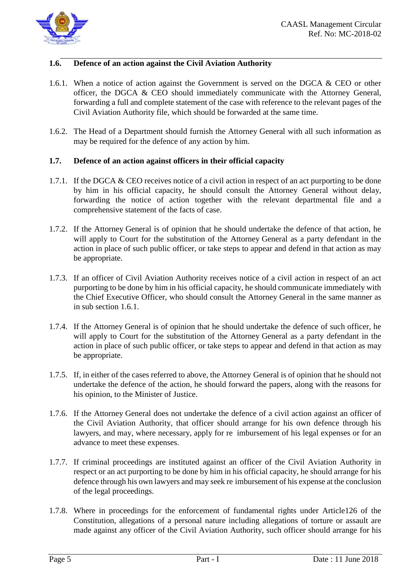

#### **1.6. Defence of an action against the Civil Aviation Authority**

- 1.6.1. When a notice of action against the Government is served on the DGCA & CEO or other officer, the DGCA & CEO should immediately communicate with the Attorney General, forwarding a full and complete statement of the case with reference to the relevant pages of the Civil Aviation Authority file, which should be forwarded at the same time.
- 1.6.2. The Head of a Department should furnish the Attorney General with all such information as may be required for the defence of any action by him.

#### **1.7. Defence of an action against officers in their official capacity**

- 1.7.1. If the DGCA & CEO receives notice of a civil action in respect of an act purporting to be done by him in his official capacity, he should consult the Attorney General without delay, forwarding the notice of action together with the relevant departmental file and a comprehensive statement of the facts of case.
- 1.7.2. If the Attorney General is of opinion that he should undertake the defence of that action, he will apply to Court for the substitution of the Attorney General as a party defendant in the action in place of such public officer, or take steps to appear and defend in that action as may be appropriate.
- 1.7.3. If an officer of Civil Aviation Authority receives notice of a civil action in respect of an act purporting to be done by him in his official capacity, he should communicate immediately with the Chief Executive Officer, who should consult the Attorney General in the same manner as in sub section 1.6.1.
- 1.7.4. If the Attorney General is of opinion that he should undertake the defence of such officer, he will apply to Court for the substitution of the Attorney General as a party defendant in the action in place of such public officer, or take steps to appear and defend in that action as may be appropriate.
- 1.7.5. If, in either of the cases referred to above, the Attorney General is of opinion that he should not undertake the defence of the action, he should forward the papers, along with the reasons for his opinion, to the Minister of Justice.
- 1.7.6. If the Attorney General does not undertake the defence of a civil action against an officer of the Civil Aviation Authority, that officer should arrange for his own defence through his lawyers, and may, where necessary, apply for re imbursement of his legal expenses or for an advance to meet these expenses.
- 1.7.7. If criminal proceedings are instituted against an officer of the Civil Aviation Authority in respect or an act purporting to be done by him in his official capacity, he should arrange for his defence through his own lawyers and may seek re imbursement of his expense at the conclusion of the legal proceedings.
- 1.7.8. Where in proceedings for the enforcement of fundamental rights under Article126 of the Constitution, allegations of a personal nature including allegations of torture or assault are made against any officer of the Civil Aviation Authority, such officer should arrange for his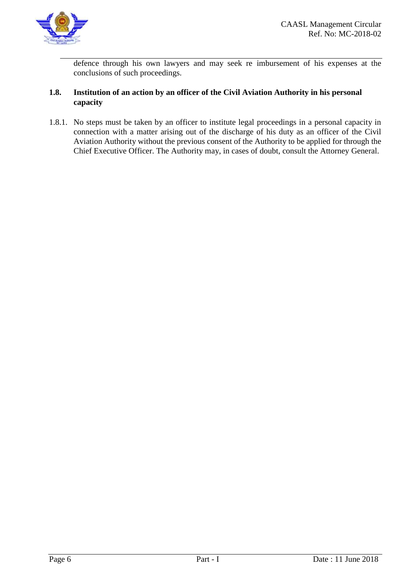

defence through his own lawyers and may seek re imbursement of his expenses at the conclusions of such proceedings.

#### **1.8. Institution of an action by an officer of the Civil Aviation Authority in his personal capacity**

1.8.1. No steps must be taken by an officer to institute legal proceedings in a personal capacity in connection with a matter arising out of the discharge of his duty as an officer of the Civil Aviation Authority without the previous consent of the Authority to be applied for through the Chief Executive Officer. The Authority may, in cases of doubt, consult the Attorney General.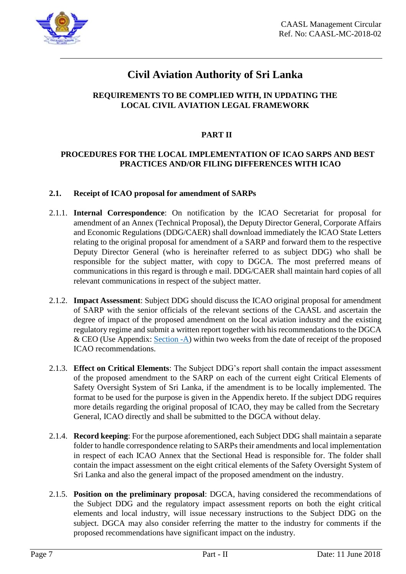

### **REQUIREMENTS TO BE COMPLIED WITH, IN UPDATING THE LOCAL CIVIL AVIATION LEGAL FRAMEWORK**

### **PART II**

### **PROCEDURES FOR THE LOCAL IMPLEMENTATION OF ICAO SARPS AND BEST PRACTICES AND/OR FILING DIFFERENCES WITH ICAO**

#### **2.1. Receipt of ICAO proposal for amendment of SARPs**

- 2.1.1. **Internal Correspondence**: On notification by the ICAO Secretariat for proposal for amendment of an Annex (Technical Proposal), the Deputy Director General, Corporate Affairs and Economic Regulations (DDG/CAER) shall download immediately the ICAO State Letters relating to the original proposal for amendment of a SARP and forward them to the respective Deputy Director General (who is hereinafter referred to as subject DDG) who shall be responsible for the subject matter, with copy to DGCA. The most preferred means of communications in this regard is through e mail. DDG/CAER shall maintain hard copies of all relevant communications in respect of the subject matter.
- 2.1.2. **Impact Assessment**: Subject DDG should discuss the ICAO original proposal for amendment of SARP with the senior officials of the relevant sections of the CAASL and ascertain the degree of impact of the proposed amendment on the local aviation industry and the existing regulatory regime and submit a written report together with his recommendations to the DGCA & CEO (Use Appendix: [Section -A\)](#page-15-0) within two weeks from the date of receipt of the proposed ICAO recommendations.
- 2.1.3. **Effect on Critical Elements**: The Subject DDG's report shall contain the impact assessment of the proposed amendment to the SARP on each of the current eight Critical Elements of Safety Oversight System of Sri Lanka, if the amendment is to be locally implemented. The format to be used for the purpose is given in the Appendix hereto. If the subject DDG requires more details regarding the original proposal of ICAO, they may be called from the Secretary General, ICAO directly and shall be submitted to the DGCA without delay.
- 2.1.4. **Record keeping**: For the purpose aforementioned, each Subject DDG shall maintain a separate folder to handle correspondence relating to SARPs their amendments and local implementation in respect of each ICAO Annex that the Sectional Head is responsible for. The folder shall contain the impact assessment on the eight critical elements of the Safety Oversight System of Sri Lanka and also the general impact of the proposed amendment on the industry.
- 2.1.5. **Position on the preliminary proposal**: DGCA, having considered the recommendations of the Subject DDG and the regulatory impact assessment reports on both the eight critical elements and local industry, will issue necessary instructions to the Subject DDG on the subject. DGCA may also consider referring the matter to the industry for comments if the proposed recommendations have significant impact on the industry.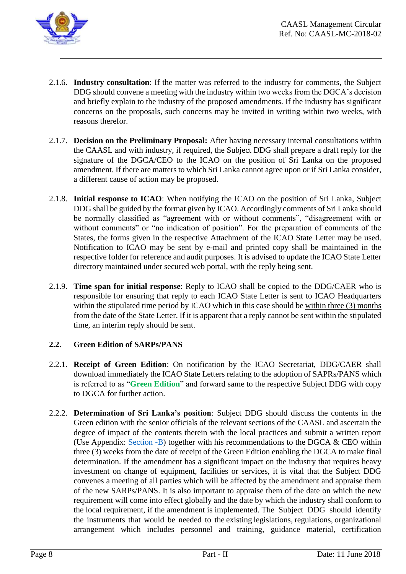

- 2.1.6. **Industry consultation**: If the matter was referred to the industry for comments, the Subject DDG should convene a meeting with the industry within two weeks from the DGCA's decision and briefly explain to the industry of the proposed amendments. If the industry has significant concerns on the proposals, such concerns may be invited in writing within two weeks, with reasons therefor.
- 2.1.7. **Decision on the Preliminary Proposal:** After having necessary internal consultations within the CAASL and with industry, if required, the Subject DDG shall prepare a draft reply for the signature of the DGCA/CEO to the ICAO on the position of Sri Lanka on the proposed amendment. If there are matters to which Sri Lanka cannot agree upon or if Sri Lanka consider, a different cause of action may be proposed.
- 2.1.8. **Initial response to ICAO**: When notifying the ICAO on the position of Sri Lanka, Subject DDG shall be guided by the format given by ICAO. Accordingly comments of Sri Lanka should be normally classified as "agreement with or without comments", "disagreement with or without comments" or "no indication of position". For the preparation of comments of the States, the forms given in the respective Attachment of the ICAO State Letter may be used. Notification to ICAO may be sent by e-mail and printed copy shall be maintained in the respective folder for reference and audit purposes. It is advised to update the ICAO State Letter directory maintained under secured web portal, with the reply being sent.
- 2.1.9. **Time span for initial response**: Reply to ICAO shall be copied to the DDG/CAER who is responsible for ensuring that reply to each ICAO State Letter is sent to ICAO Headquarters within the stipulated time period by ICAO which in this case should be within three (3) months from the date of the State Letter. If it is apparent that a reply cannot be sent within the stipulated time, an interim reply should be sent.

### **2.2. Green Edition of SARPs/PANS**

- 2.2.1. **Receipt of Green Edition**: On notification by the ICAO Secretariat, DDG/CAER shall download immediately the ICAO State Letters relating to the adoption of SAPRs/PANS which is referred to as "**Green Edition**" and forward same to the respective Subject DDG with copy to DGCA for further action.
- 2.2.2. **Determination of Sri Lanka's position**: Subject DDG should discuss the contents in the Green edition with the senior officials of the relevant sections of the CAASL and ascertain the degree of impact of the contents therein with the local practices and submit a written report (Use Appendix: Section  $-B$ ) together with his recommendations to the DGCA & CEO within three (3) weeks from the date of receipt of the Green Edition enabling the DGCA to make final determination. If the amendment has a significant impact on the industry that requires heavy investment on change of equipment, facilities or services, it is vital that the Subject DDG convenes a meeting of all parties which will be affected by the amendment and appraise them of the new SARPs/PANS. It is also important to appraise them of the date on which the new requirement will come into effect globally and the date by which the industry shall conform to the local requirement, if the amendment is implemented. The Subject DDG should identify the instruments that would be needed to the existing legislations, regulations, organizational arrangement which includes personnel and training, guidance material, certification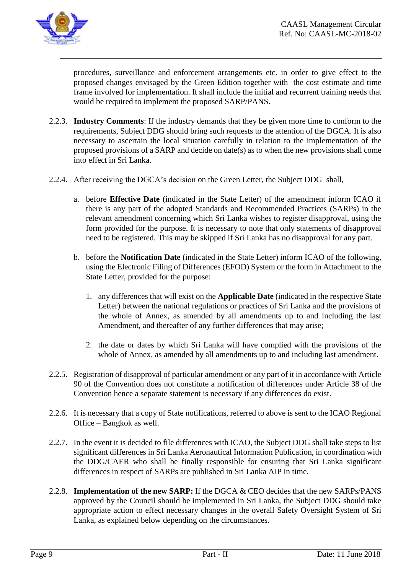

procedures, surveillance and enforcement arrangements etc. in order to give effect to the proposed changes envisaged by the Green Edition together with the cost estimate and time frame involved for implementation. It shall include the initial and recurrent training needs that would be required to implement the proposed SARP/PANS.

- 2.2.3. **Industry Comments**: If the industry demands that they be given more time to conform to the requirements, Subject DDG should bring such requests to the attention of the DGCA. It is also necessary to ascertain the local situation carefully in relation to the implementation of the proposed provisions of a SARP and decide on date(s) as to when the new provisions shall come into effect in Sri Lanka.
- 2.2.4. After receiving the DGCA's decision on the Green Letter, the Subject DDG shall,
	- a. before **Effective Date** (indicated in the State Letter) of the amendment inform ICAO if there is any part of the adopted Standards and Recommended Practices (SARPs) in the relevant amendment concerning which Sri Lanka wishes to register disapproval, using the form provided for the purpose. It is necessary to note that only statements of disapproval need to be registered. This may be skipped if Sri Lanka has no disapproval for any part.
	- b. before the **Notification Date** (indicated in the State Letter) inform ICAO of the following, using the Electronic Filing of Differences (EFOD) System or the form in Attachment to the State Letter, provided for the purpose:
		- 1. any differences that will exist on the **Applicable Date** (indicated in the respective State Letter) between the national regulations or practices of Sri Lanka and the provisions of the whole of Annex, as amended by all amendments up to and including the last Amendment, and thereafter of any further differences that may arise;
		- 2. the date or dates by which Sri Lanka will have complied with the provisions of the whole of Annex, as amended by all amendments up to and including last amendment.
- 2.2.5. Registration of disapproval of particular amendment or any part of it in accordance with Article 90 of the Convention does not constitute a notification of differences under Article 38 of the Convention hence a separate statement is necessary if any differences do exist.
- 2.2.6. It is necessary that a copy of State notifications, referred to above is sent to the ICAO Regional Office – Bangkok as well.
- 2.2.7. In the event it is decided to file differences with ICAO, the Subject DDG shall take steps to list significant differences in Sri Lanka Aeronautical Information Publication, in coordination with the DDG/CAER who shall be finally responsible for ensuring that Sri Lanka significant differences in respect of SARPs are published in Sri Lanka AIP in time.
- 2.2.8. **Implementation of the new SARP:** If the DGCA & CEO decides that the new SARPs/PANS approved by the Council should be implemented in Sri Lanka, the Subject DDG should take appropriate action to effect necessary changes in the overall Safety Oversight System of Sri Lanka, as explained below depending on the circumstances.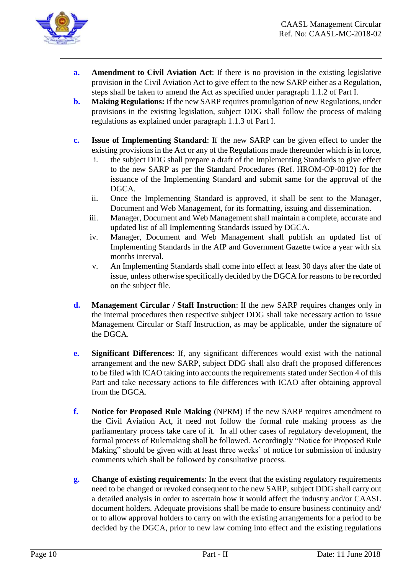

- **a. Amendment to Civil Aviation Act**: If there is no provision in the existing legislative provision in the Civil Aviation Act to give effect to the new SARP either as a Regulation, steps shall be taken to amend the Act as specified under paragraph 1.1.2 of Part I.
- **b. Making Regulations:** If the new SARP requires promulgation of new Regulations, under provisions in the existing legislation, subject DDG shall follow the process of making regulations as explained under paragraph 1.1.3 of Part I.
- **c. Issue of Implementing Standard**: If the new SARP can be given effect to under the existing provisions in the Act or any of the Regulations made thereunder which is in force,
	- i. the subject DDG shall prepare a draft of the Implementing Standards to give effect to the new SARP as per the Standard Procedures (Ref. HROM-OP-0012) for the issuance of the Implementing Standard and submit same for the approval of the DGCA.
	- ii. Once the Implementing Standard is approved, it shall be sent to the Manager, Document and Web Management, for its formatting, issuing and dissemination.
	- iii. Manager, Document and Web Management shall maintain a complete, accurate and updated list of all Implementing Standards issued by DGCA.
	- iv. Manager, Document and Web Management shall publish an updated list of Implementing Standards in the AIP and Government Gazette twice a year with six months interval.
	- v. An Implementing Standards shall come into effect at least 30 days after the date of issue, unless otherwise specifically decided by the DGCA for reasons to be recorded on the subject file.
- **d. Management Circular / Staff Instruction**: If the new SARP requires changes only in the internal procedures then respective subject DDG shall take necessary action to issue Management Circular or Staff Instruction, as may be applicable, under the signature of the DGCA.
- **e. Significant Differences**: If, any significant differences would exist with the national arrangement and the new SARP, subject DDG shall also draft the proposed differences to be filed with ICAO taking into accounts the requirements stated under Section 4 of this Part and take necessary actions to file differences with ICAO after obtaining approval from the DGCA.
- **f. Notice for Proposed Rule Making** (NPRM) If the new SARP requires amendment to the Civil Aviation Act, it need not follow the formal rule making process as the parliamentary process take care of it. In all other cases of regulatory development, the formal process of Rulemaking shall be followed. Accordingly "Notice for Proposed Rule Making" should be given with at least three weeks' of notice for submission of industry comments which shall be followed by consultative process.
- **g. Change of existing requirements**: In the event that the existing regulatory requirements need to be changed or revoked consequent to the new SARP, subject DDG shall carry out a detailed analysis in order to ascertain how it would affect the industry and/or CAASL document holders. Adequate provisions shall be made to ensure business continuity and/ or to allow approval holders to carry on with the existing arrangements for a period to be decided by the DGCA, prior to new law coming into effect and the existing regulations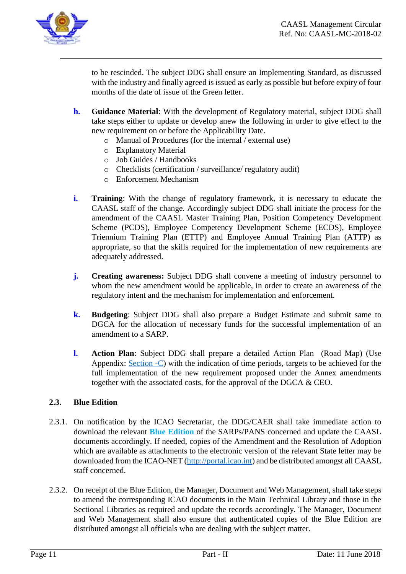

to be rescinded. The subject DDG shall ensure an Implementing Standard, as discussed with the industry and finally agreed is issued as early as possible but before expiry of four months of the date of issue of the Green letter.

- **h. Guidance Material**: With the development of Regulatory material, subject DDG shall take steps either to update or develop anew the following in order to give effect to the new requirement on or before the Applicability Date.
	- o Manual of Procedures (for the internal / external use)
	- o Explanatory Material
	- o Job Guides / Handbooks
	- o Checklists (certification / surveillance/ regulatory audit)
	- o Enforcement Mechanism
- **i. Training**: With the change of regulatory framework, it is necessary to educate the CAASL staff of the change. Accordingly subject DDG shall initiate the process for the amendment of the CAASL Master Training Plan, Position Competency Development Scheme (PCDS), Employee Competency Development Scheme (ECDS), Employee Triennium Training Plan (ETTP) and Employee Annual Training Plan (ATTP) as appropriate, so that the skills required for the implementation of new requirements are adequately addressed.
- **j. Creating awareness:** Subject DDG shall convene a meeting of industry personnel to whom the new amendment would be applicable, in order to create an awareness of the regulatory intent and the mechanism for implementation and enforcement.
- **k. Budgeting**: Subject DDG shall also prepare a Budget Estimate and submit same to DGCA for the allocation of necessary funds for the successful implementation of an amendment to a SARP.
- **l. Action Plan**: Subject DDG shall prepare a detailed Action Plan (Road Map) (Use Appendix: [Section -C\)](#page-19-0) with the indication of time periods, targets to be achieved for the full implementation of the new requirement proposed under the Annex amendments together with the associated costs, for the approval of the DGCA & CEO.

#### **2.3. Blue Edition**

- 2.3.1. On notification by the ICAO Secretariat, the DDG/CAER shall take immediate action to download the relevant **Blue Edition** of the SARPs/PANS concerned and update the CAASL documents accordingly. If needed, copies of the Amendment and the Resolution of Adoption which are available as attachments to the electronic version of the relevant State letter may be downloaded from the ICAO-NET [\(http://portal.icao.int\)](http://portal.icao.int/) and be distributed amongst all CAASL staff concerned.
- 2.3.2. On receipt of the Blue Edition, the Manager, Document and Web Management, shall take steps to amend the corresponding ICAO documents in the Main Technical Library and those in the Sectional Libraries as required and update the records accordingly. The Manager, Document and Web Management shall also ensure that authenticated copies of the Blue Edition are distributed amongst all officials who are dealing with the subject matter.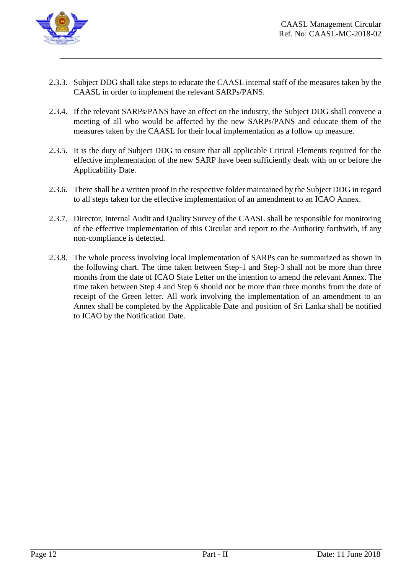

- 2.3.3. Subject DDG shall take steps to educate the CAASL internal staff of the measures taken by the CAASL in order to implement the relevant SARPs/PANS.
- 2.3.4. If the relevant SARPs/PANS have an effect on the industry, the Subject DDG shall convene a meeting of all who would be affected by the new SARPs/PANS and educate them of the measures taken by the CAASL for their local implementation as a follow up measure.
- 2.3.5. It is the duty of Subject DDG to ensure that all applicable Critical Elements required for the effective implementation of the new SARP have been sufficiently dealt with on or before the Applicability Date.
- 2.3.6. There shall be a written proof in the respective folder maintained by the Subject DDG in regard to all steps taken for the effective implementation of an amendment to an ICAO Annex.
- 2.3.7. Director, Internal Audit and Quality Survey of the CAASL shall be responsible for monitoring of the effective implementation of this Circular and report to the Authority forthwith, if any non-compliance is detected.
- 2.3.8. The whole process involving local implementation of SARPs can be summarized as shown in the following chart. The time taken between Step-1 and Step-3 shall not be more than three months from the date of ICAO State Letter on the intention to amend the relevant Annex. The time taken between Step 4 and Step 6 should not be more than three months from the date of receipt of the Green letter. All work involving the implementation of an amendment to an Annex shall be completed by the Applicable Date and position of Sri Lanka shall be notified to ICAO by the Notification Date.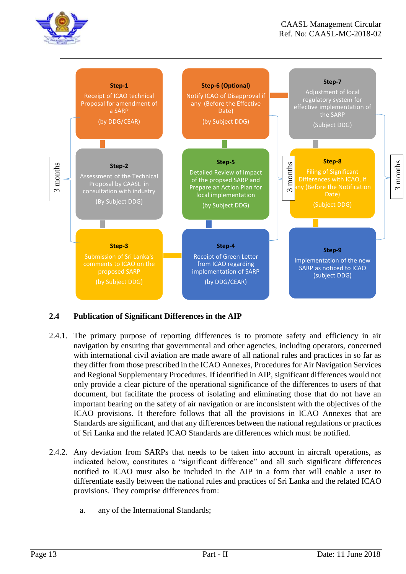



### **2.4 Publication of Significant Differences in the AIP**

- 2.4.1. The primary purpose of reporting differences is to promote safety and efficiency in air navigation by ensuring that governmental and other agencies, including operators, concerned with international civil aviation are made aware of all national rules and practices in so far as they differ from those prescribed in the ICAO Annexes, Procedures for Air Navigation Services and Regional Supplementary Procedures. If identified in AIP, significant differences would not only provide a clear picture of the operational significance of the differences to users of that document, but facilitate the process of isolating and eliminating those that do not have an important bearing on the safety of air navigation or are inconsistent with the objectives of the ICAO provisions. It therefore follows that all the provisions in ICAO Annexes that are Standards are significant, and that any differences between the national regulations or practices of Sri Lanka and the related ICAO Standards are differences which must be notified.
- 2.4.2. Any deviation from SARPs that needs to be taken into account in aircraft operations, as indicated below, constitutes a "significant difference" and all such significant differences notified to ICAO must also be included in the AIP in a form that will enable a user to differentiate easily between the national rules and practices of Sri Lanka and the related ICAO provisions. They comprise differences from:
	- a. any of the International Standards;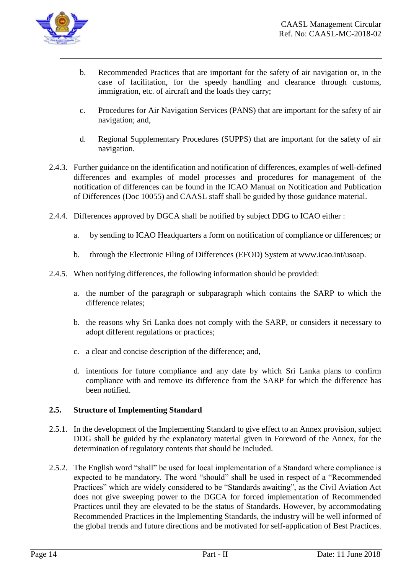

- b. Recommended Practices that are important for the safety of air navigation or, in the case of facilitation, for the speedy handling and clearance through customs, immigration, etc. of aircraft and the loads they carry;
- c. Procedures for Air Navigation Services (PANS) that are important for the safety of air navigation; and,
- d. Regional Supplementary Procedures (SUPPS) that are important for the safety of air navigation.
- 2.4.3. Further guidance on the identification and notification of differences, examples of well-defined differences and examples of model processes and procedures for management of the notification of differences can be found in the ICAO Manual on Notification and Publication of Differences (Doc 10055) and CAASL staff shall be guided by those guidance material.
- 2.4.4. Differences approved by DGCA shall be notified by subject DDG to ICAO either :
	- a. by sending to ICAO Headquarters a form on notification of compliance or differences; or
	- b. through the Electronic Filing of Differences (EFOD) System at www.icao.int/usoap.
- 2.4.5. When notifying differences, the following information should be provided:
	- a. the number of the paragraph or subparagraph which contains the SARP to which the difference relates;
	- b. the reasons why Sri Lanka does not comply with the SARP, or considers it necessary to adopt different regulations or practices;
	- c. a clear and concise description of the difference; and,
	- d. intentions for future compliance and any date by which Sri Lanka plans to confirm compliance with and remove its difference from the SARP for which the difference has been notified.

#### **2.5. Structure of Implementing Standard**

- 2.5.1. In the development of the Implementing Standard to give effect to an Annex provision, subject DDG shall be guided by the explanatory material given in Foreword of the Annex, for the determination of regulatory contents that should be included.
- 2.5.2. The English word "shall" be used for local implementation of a Standard where compliance is expected to be mandatory. The word "should" shall be used in respect of a "Recommended Practices" which are widely considered to be "Standards awaiting", as the Civil Aviation Act does not give sweeping power to the DGCA for forced implementation of Recommended Practices until they are elevated to be the status of Standards. However, by accommodating Recommended Practices in the Implementing Standards, the industry will be well informed of the global trends and future directions and be motivated for self-application of Best Practices.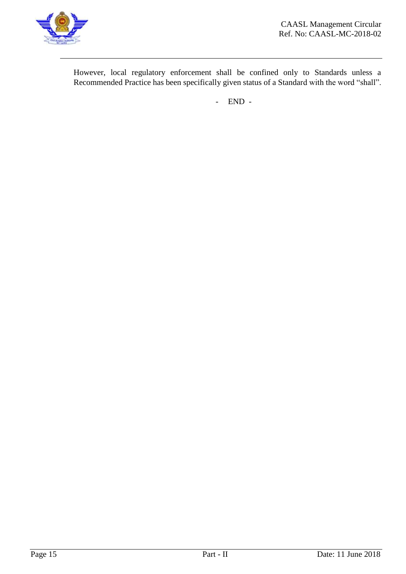

However, local regulatory enforcement shall be confined only to Standards unless a Recommended Practice has been specifically given status of a Standard with the word "shall".

- END -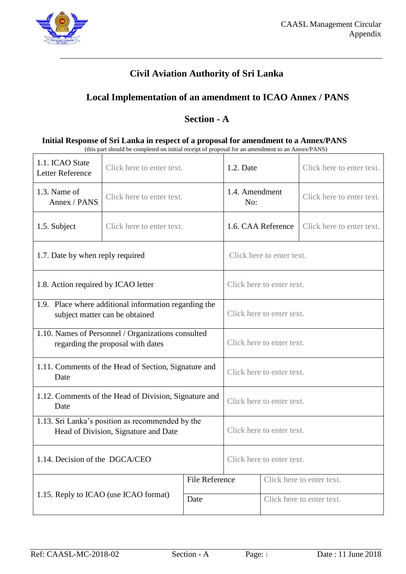

# **Local Implementation of an amendment to ICAO Annex / PANS**

# **Section - A**

<span id="page-15-0"></span>

| Initial Response of Sri Lanka in respect of a proposal for amendment to a Annex/PANS             |
|--------------------------------------------------------------------------------------------------|
| (this part should be completed on initial receipt of proposal for an amendment to an Annex/PANS) |

| 1.1. ICAO State<br>Letter Reference                                                      | Click here to enter text.                                                               |                       | 1.2. Date                                       |  | Click here to enter text. |  |
|------------------------------------------------------------------------------------------|-----------------------------------------------------------------------------------------|-----------------------|-------------------------------------------------|--|---------------------------|--|
| 1.3. Name of<br>Annex / PANS                                                             | Click here to enter text.                                                               |                       | 1.4. Amendment<br>No:                           |  | Click here to enter text. |  |
| 1.5. Subject                                                                             | Click here to enter text.                                                               |                       | 1.6. CAA Reference<br>Click here to enter text. |  |                           |  |
| 1.7. Date by when reply required                                                         |                                                                                         |                       | Click here to enter text.                       |  |                           |  |
| 1.8. Action required by ICAO letter                                                      |                                                                                         |                       | Click here to enter text.                       |  |                           |  |
|                                                                                          | 1.9. Place where additional information regarding the<br>subject matter can be obtained |                       | Click here to enter text.                       |  |                           |  |
| 1.10. Names of Personnel / Organizations consulted<br>regarding the proposal with dates  |                                                                                         |                       | Click here to enter text.                       |  |                           |  |
| 1.11. Comments of the Head of Section, Signature and<br>Date                             |                                                                                         |                       | Click here to enter text.                       |  |                           |  |
| 1.12. Comments of the Head of Division, Signature and<br>Date                            |                                                                                         |                       | Click here to enter text.                       |  |                           |  |
| 1.13. Sri Lanka's position as recommended by the<br>Head of Division, Signature and Date |                                                                                         |                       | Click here to enter text.                       |  |                           |  |
| 1.14. Decision of the DGCA/CEO                                                           |                                                                                         |                       | Click here to enter text.                       |  |                           |  |
| 1.15. Reply to ICAO (use ICAO format)<br>Date                                            |                                                                                         | <b>File Reference</b> | Click here to enter text.                       |  |                           |  |
|                                                                                          |                                                                                         |                       |                                                 |  | Click here to enter text. |  |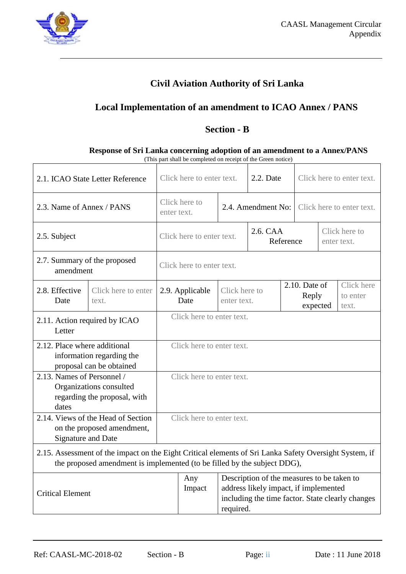

# **Local Implementation of an amendment to ICAO Annex / PANS**

# **Section - B**

#### **Response of Sri Lanka concerning adoption of an amendment to a Annex/PANS**  (This part shall be completed on receipt of the Green notice)

<span id="page-16-0"></span>

| 2.1. ICAO State Letter Reference                                                                                                                                                   |                                                                  | Click here to enter text.    |                                                                                                                                                      | 2.2. Date |           | Click here to enter text.            |                                 |  |
|------------------------------------------------------------------------------------------------------------------------------------------------------------------------------------|------------------------------------------------------------------|------------------------------|------------------------------------------------------------------------------------------------------------------------------------------------------|-----------|-----------|--------------------------------------|---------------------------------|--|
| 2.3. Name of Annex / PANS                                                                                                                                                          |                                                                  | Click here to<br>enter text. | 2.4. Amendment No:                                                                                                                                   |           |           | Click here to enter text.            |                                 |  |
| 2.5. Subject                                                                                                                                                                       |                                                                  | Click here to enter text.    |                                                                                                                                                      | 2.6. CAA  | Reference | Click here to<br>enter text.         |                                 |  |
| 2.7. Summary of the proposed<br>amendment                                                                                                                                          |                                                                  | Click here to enter text.    |                                                                                                                                                      |           |           |                                      |                                 |  |
| 2.8. Effective<br>Date                                                                                                                                                             | Click here to enter<br>text.                                     | 2.9. Applicable<br>Date      | Click here to<br>enter text.                                                                                                                         |           |           | $2.10.$ Date of<br>Reply<br>expected | Click here<br>to enter<br>text. |  |
| 2.11. Action required by ICAO<br>Letter                                                                                                                                            |                                                                  | Click here to enter text.    |                                                                                                                                                      |           |           |                                      |                                 |  |
| 2.12. Place where additional                                                                                                                                                       | information regarding the<br>proposal can be obtained            | Click here to enter text.    |                                                                                                                                                      |           |           |                                      |                                 |  |
| 2.13. Names of Personnel /<br>dates                                                                                                                                                | Organizations consulted<br>regarding the proposal, with          | Click here to enter text.    |                                                                                                                                                      |           |           |                                      |                                 |  |
| Signature and Date                                                                                                                                                                 | 2.14. Views of the Head of Section<br>on the proposed amendment, | Click here to enter text.    |                                                                                                                                                      |           |           |                                      |                                 |  |
| 2.15. Assessment of the impact on the Eight Critical elements of Sri Lanka Safety Oversight System, if<br>the proposed amendment is implemented (to be filled by the subject DDG), |                                                                  |                              |                                                                                                                                                      |           |           |                                      |                                 |  |
| <b>Critical Element</b>                                                                                                                                                            |                                                                  | Any<br>Impact                | Description of the measures to be taken to<br>address likely impact, if implemented<br>including the time factor. State clearly changes<br>required. |           |           |                                      |                                 |  |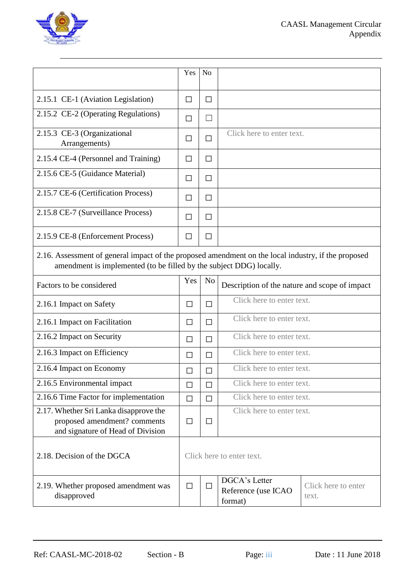

|                                                                                                                                                                            | Yes          | N <sub>o</sub> |                                                 |                              |  |  |
|----------------------------------------------------------------------------------------------------------------------------------------------------------------------------|--------------|----------------|-------------------------------------------------|------------------------------|--|--|
| 2.15.1 CE-1 (Aviation Legislation)                                                                                                                                         | $\Box$       | $\Box$         |                                                 |                              |  |  |
| 2.15.2 CE-2 (Operating Regulations)                                                                                                                                        | $\Box$       | $\Box$         |                                                 |                              |  |  |
| 2.15.3 CE-3 (Organizational<br>Arrangements)                                                                                                                               | П            | $\Box$         | Click here to enter text.                       |                              |  |  |
| 2.15.4 CE-4 (Personnel and Training)                                                                                                                                       | П            | $\Box$         |                                                 |                              |  |  |
| 2.15.6 CE-5 (Guidance Material)                                                                                                                                            | $\mathsf{L}$ | П              |                                                 |                              |  |  |
| 2.15.7 CE-6 (Certification Process)                                                                                                                                        | $\Box$       | $\Box$         |                                                 |                              |  |  |
| 2.15.8 CE-7 (Surveillance Process)                                                                                                                                         | П            | $\Box$         |                                                 |                              |  |  |
| 2.15.9 CE-8 (Enforcement Process)                                                                                                                                          | П            | П              |                                                 |                              |  |  |
| 2.16. Assessment of general impact of the proposed amendment on the local industry, if the proposed<br>amendment is implemented (to be filled by the subject DDG) locally. |              |                |                                                 |                              |  |  |
| Factors to be considered                                                                                                                                                   | Yes          | N <sub>o</sub> | Description of the nature and scope of impact   |                              |  |  |
| 2.16.1 Impact on Safety                                                                                                                                                    | $\Box$       | $\Box$         | Click here to enter text.                       |                              |  |  |
| 2.16.1 Impact on Facilitation                                                                                                                                              | $\Box$       | $\Box$         | Click here to enter text.                       |                              |  |  |
| 2.16.2 Impact on Security                                                                                                                                                  | $\Box$       | П              | Click here to enter text.                       |                              |  |  |
| 2.16.3 Impact on Efficiency                                                                                                                                                | $\Box$       | П              | Click here to enter text.                       |                              |  |  |
| 2.16.4 Impact on Economy                                                                                                                                                   | П            | П              | Click here to enter text.                       |                              |  |  |
| 2.16.5 Environmental impact                                                                                                                                                | $\Box$       | □              | Click here to enter text.                       |                              |  |  |
| 2.16.6 Time Factor for implementation                                                                                                                                      | $\Box$       | $\Box$         | Click here to enter text.                       |                              |  |  |
| 2.17. Whether Sri Lanka disapprove the<br>proposed amendment? comments<br>and signature of Head of Division                                                                | П            | $\Box$         | Click here to enter text.                       |                              |  |  |
| 2.18. Decision of the DGCA                                                                                                                                                 |              |                | Click here to enter text.                       |                              |  |  |
| 2.19. Whether proposed amendment was<br>disapproved                                                                                                                        | $\Box$       | $\Box$         | DGCA's Letter<br>Reference (use ICAO<br>format) | Click here to enter<br>text. |  |  |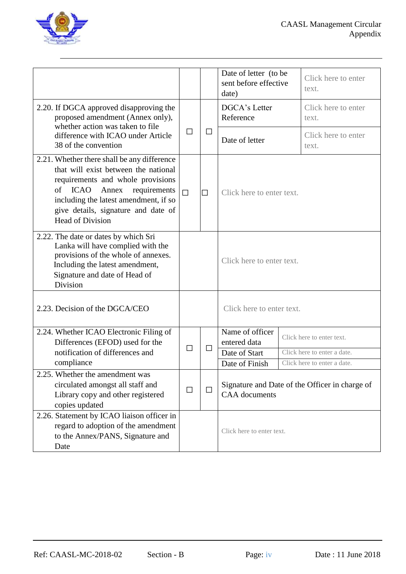

|                                                                                                                                                                                                                                                                                   |             |        | Date of letter (to be<br>sent before effective<br>date)                |  | Click here to enter<br>text.                                                            |
|-----------------------------------------------------------------------------------------------------------------------------------------------------------------------------------------------------------------------------------------------------------------------------------|-------------|--------|------------------------------------------------------------------------|--|-----------------------------------------------------------------------------------------|
| 2.20. If DGCA approved disapproving the<br>proposed amendment (Annex only),<br>whether action was taken to file<br>difference with ICAO under Article<br>38 of the convention                                                                                                     |             | $\Box$ | DGCA's Letter<br>Reference                                             |  | Click here to enter<br>text.                                                            |
|                                                                                                                                                                                                                                                                                   |             |        | Date of letter                                                         |  | Click here to enter<br>text.                                                            |
| 2.21. Whether there shall be any difference<br>that will exist between the national<br>requirements and whole provisions<br><b>ICAO</b><br>of<br>Annex<br>requirements<br>including the latest amendment, if so<br>give details, signature and date of<br><b>Head of Division</b> | $\Box$      | $\Box$ | Click here to enter text.                                              |  |                                                                                         |
| 2.22. The date or dates by which Sri<br>Lanka will have complied with the<br>provisions of the whole of annexes.<br>Including the latest amendment,<br>Signature and date of Head of<br>Division                                                                                  |             |        | Click here to enter text.                                              |  |                                                                                         |
| 2.23. Decision of the DGCA/CEO                                                                                                                                                                                                                                                    |             |        | Click here to enter text.                                              |  |                                                                                         |
| 2.24. Whether ICAO Electronic Filing of<br>Differences (EFOD) used for the<br>notification of differences and<br>compliance                                                                                                                                                       | П<br>$\Box$ |        | Name of officer<br>entered data<br>Date of Start<br>Date of Finish     |  | Click here to enter text.<br>Click here to enter a date.<br>Click here to enter a date. |
| 2.25. Whether the amendment was<br>circulated amongst all staff and<br>Library copy and other registered<br>copies updated                                                                                                                                                        | $\Box$      | П      | Signature and Date of the Officer in charge of<br><b>CAA</b> documents |  |                                                                                         |
| 2.26. Statement by ICAO liaison officer in<br>regard to adoption of the amendment<br>to the Annex/PANS, Signature and<br>Date                                                                                                                                                     |             |        | Click here to enter text.                                              |  |                                                                                         |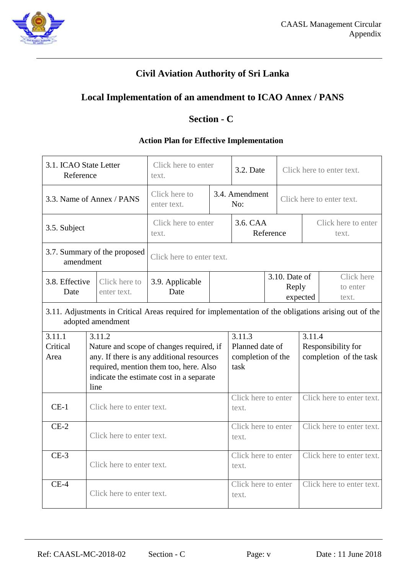

# **Local Implementation of an amendment to ICAO Annex / PANS**

# **Section - C**

## **Action Plan for Effective Implementation**

<span id="page-19-0"></span>

| 3.1. ICAO State Letter<br>Reference |                                                                                                                                                                                               | Click here to enter<br>text. |                       | 3.2. Date                                              |                              | Click here to enter text.          |                              |                                              |
|-------------------------------------|-----------------------------------------------------------------------------------------------------------------------------------------------------------------------------------------------|------------------------------|-----------------------|--------------------------------------------------------|------------------------------|------------------------------------|------------------------------|----------------------------------------------|
| 3.3. Name of Annex / PANS           |                                                                                                                                                                                               | Click here to<br>enter text. | 3.4. Amendment<br>No: |                                                        |                              | Click here to enter text.          |                              |                                              |
| 3.5. Subject                        |                                                                                                                                                                                               | Click here to enter<br>text. |                       | 3.6. CAA                                               | Reference                    |                                    | Click here to enter<br>text. |                                              |
| amendment                           | 3.7. Summary of the proposed                                                                                                                                                                  | Click here to enter text.    |                       |                                                        |                              |                                    |                              |                                              |
| 3.8. Effective<br>Date              | Click here to<br>enter text.                                                                                                                                                                  | 3.9. Applicable<br>Date      |                       |                                                        |                              | 3.10. Date of<br>Reply<br>expected |                              | Click here<br>to enter<br>text.              |
|                                     | 3.11. Adjustments in Critical Areas required for implementation of the obligations arising out of the<br>adopted amendment                                                                    |                              |                       |                                                        |                              |                                    |                              |                                              |
| 3.11.1<br>Critical<br>Area          | 3.11.2<br>Nature and scope of changes required, if<br>any. If there is any additional resources<br>required, mention them too, here. Also<br>indicate the estimate cost in a separate<br>line |                              |                       | 3.11.3<br>Planned date of<br>completion of the<br>task |                              |                                    | 3.11.4                       | Responsibility for<br>completion of the task |
| $CE-1$                              |                                                                                                                                                                                               | Click here to enter text.    |                       |                                                        | Click here to enter<br>text. |                                    |                              | Click here to enter text.                    |
| $CE-2$                              |                                                                                                                                                                                               | Click here to enter text.    |                       |                                                        | Click here to enter<br>text. |                                    |                              | Click here to enter text.                    |
| $CE-3$                              | Click here to enter text.                                                                                                                                                                     |                              |                       |                                                        | Click here to enter<br>text. |                                    |                              | Click here to enter text.                    |
| $CE-4$                              | Click here to enter text.                                                                                                                                                                     |                              |                       | Click here to enter<br>text.                           |                              |                                    |                              | Click here to enter text.                    |